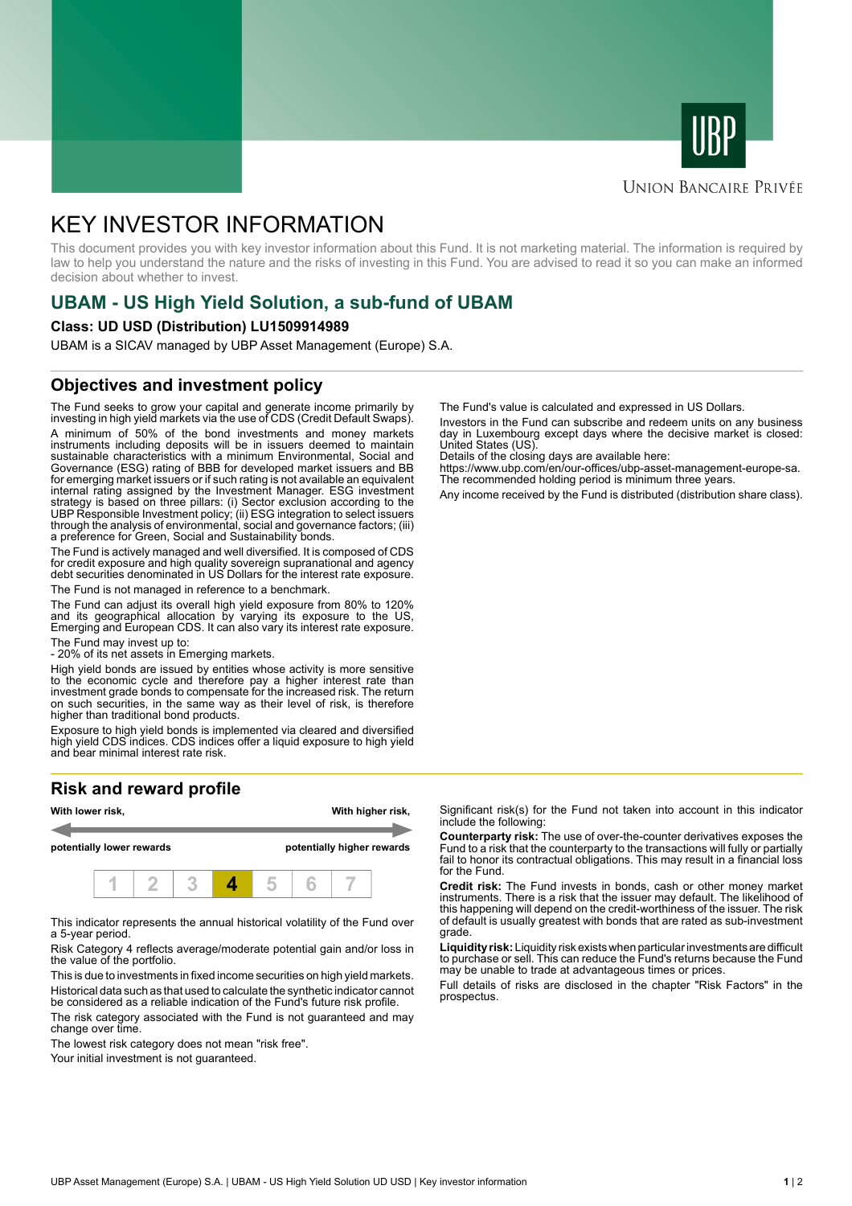



## **UNION BANCAIRE PRIVÉE**

# KEY INVESTOR INFORMATION

This document provides you with key investor information about this Fund. It is not marketing material. The information is required by law to help you understand the nature and the risks of investing in this Fund. You are advised to read it so you can make an informed decision about whether to invest.

# **UBAM - US High Yield Solution, a sub-fund of UBAM**

#### **Class: UD USD (Distribution) LU1509914989**

UBAM is a SICAV managed by UBP Asset Management (Europe) S.A.

## **Objectives and investment policy**

The Fund seeks to grow your capital and generate income primarily by investing in high yield markets via the use of CDS (Credit Default Swaps). A minimum of 50% of the bond investments and money markets instruments including deposits will be in issuers deemed to maintain sustainable characteristics with a minimum Environmental, Social and Governance (ESG) rating of BBB for developed market issuers and BB for emerging market issuers or if such rating is not available an equivalent internal rating assigned by the Investment Manager. ESG investment strategy is based on three pillars: (i) Sector exclusion according to the UBP Responsible Investment policy; (ii) ESG integration to select issuers through the analysis of environmental, social and governance factors; (iii) a preference for Green, Social and Sustainability bonds.

The Fund is actively managed and well diversified. It is composed of CDS for credit exposure and high quality sovereign supranational and agency debt securities denominated in US Dollars for the interest rate exposure. The Fund is not managed in reference to a benchmark.

The Fund can adjust its overall high yield exposure from 80% to 120% and its geographical allocation by varying its exposure to the US, Emerging and European CDS. It can also vary its interest rate exposure.

The Fund may invest up to:

- 20% of its net assets in Emerging markets.

High yield bonds are issued by entities whose activity is more sensitive to the economic cycle and therefore pay a higher interest rate than investment grade bonds to compensate for the increased risk. The return on such securities, in the same way as their level of risk, is therefore higher than traditional bond products.

Exposure to high yield bonds is implemented via cleared and diversified high yield CDS indices. CDS indices offer a liquid exposure to high yield and bear minimal interest rate risk.

# **Risk and reward profile**



This indicator represents the annual historical volatility of the Fund over a 5-year period.

Risk Category 4 reflects average/moderate potential gain and/or loss in the value of the portfolio.

This is due to investments in fixed income securities on high yield markets. Historical data such as that used to calculate the synthetic indicator cannot be considered as a reliable indication of the Fund's future risk profile. The risk category associated with the Fund is not guaranteed and may

change over time. The lowest risk category does not mean "risk free".

Your initial investment is not guaranteed.

The Fund's value is calculated and expressed in US Dollars.

Investors in the Fund can subscribe and redeem units on any business day in Luxembourg except days where the decisive market is closed: United States (US).

Details of the closing days are available here:

https://www.ubp.com/en/our-offices/ubp-asset-management-europe-sa. The recommended holding period is minimum three years.

Any income received by the Fund is distributed (distribution share class).

Significant risk(s) for the Fund not taken into account in this indicator include the following:

**Counterparty risk:** The use of over-the-counter derivatives exposes the Fund to a risk that the counterparty to the transactions will fully or partially fail to honor its contractual obligations. This may result in a financial loss for the Fund.

**Credit risk:** The Fund invests in bonds, cash or other money market instruments. There is a risk that the issuer may default. The likelihood of this happening will depend on the credit-worthiness of the issuer. The risk of default is usually greatest with bonds that are rated as sub-investment grade.

**Liquidity risk:** Liquidity risk exists when particular investments are difficult to purchase or sell. This can reduce the Fund's returns because the Fund may be unable to trade at advantageous times or prices.

Full details of risks are disclosed in the chapter "Risk Factors" in the prospectus.